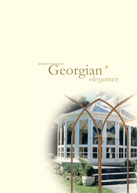

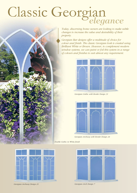# Classic Georgian



*Today, discerning home owners are looking to make subtle changes to increase the value and desirability of their property.*

*Georgian Bar designs offer a multitude of choice for colour and finish. The classic Georgian look is created using Brilliant White or Brown. However, to complement modern window systems, we can paint or foil this system in a range of colours and finishes to suit almost any requirement.*



*Georgian Gothic with Border Design 31*



*Georgian Archway with Border Design 24*

*Double Gothic in White finish*





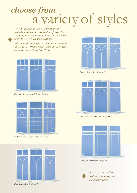## a variety of styles *choose from*

*We can advise on the construction of bespoke designs on submission of drawings showing full dimensions. We can then build these to an agreed specification.*

*All Georgian patterns can be manufactured in 25mm or 18mm wide Georgian Bar and 6mm or 8mm Victorian Grille.*



*Georgian Arch with Half Square Design 9*



*Gothic Cross in Georgian Square Design 20*



*Double Gothic Arch Design 29*



*Gothic Arch in Georgian Design 28*



*Georgian Bar Border Design 14*

*Classic curves add the finishing touch to your new conservatory.*

*Half Gothic Arch Design 27*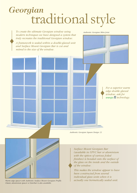### traditional style *Georgian*



*Authentic Georgian Square Design 13*



*Classic aluminium spacer or Interbar is also available.*

*Surface Mount Georgian Bar (available in UPVC bar or aluminium with the option of various foiled finishes) is bonded onto the surface of the glass on the inside and the outside of the window.*

*This makes the window appear to have been constructed from several individual glass units when it is Warm edge spacer with Authentic Surface Mount Georgian Profile. actually one hermetically sealed unit.*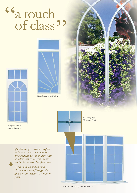#### a touch of class " ,,





*Georgian Sunrise Design 11*





*finish.*

*Special designs can be crafted to fit in to your new windows. This enables you to match your window design to your doors and existing wooden furniture.*

*For a modern stylish look, chrome bar and fittings will give you an exclusive designer* *Chrome finish Victorian Grille*

*Victorian Chrome Squares Design 13*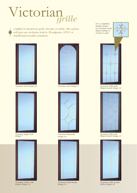### Victorian*grille*

*Crafted in luxurious gold, chrome or white, this system will give an exclusive look to Woodgrain, UPVC or traditional wooden windows.*



*Victorian Arch Design 24*



*Victorian Single Arch Design 7*



*Victorian Gothic with Border Design 31*





*Victorian Diamonds Design 16*



*For a completely bespoke design, try inserting ornate filigree fittings in chrome or gold.*





*Victorian Arch Design 4 Victorian Grille with Filigree Inserts Design 32*



*Victorian Grille with Filigree Inserts Design 33*



*Victorian Grille Double Gothic Design 29*

*Victorian Grille Border Design 14*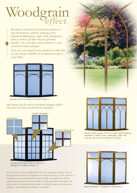### Woodgrain *effect*

*We have a selection of textured finishes to suit all window systems ranging from standard Mahogany, Light Oak, Rosewood and a variety of other luxury grained finishes. We can also colour match to your current window designs.*

*Now you can match your windows to the rest of your home, whether it is natural wood or royal blue.*



*Georgian Arch with replica Transom Design 8*

*Ask about our bi-colour Georgian designs which can also be colour-matched as required.*



*Traditional Georgian Square Pattern in Mahogany Woodgrain Design 13*

*If you'd like a more traditional look, our Georgian designs can be manufactured with a woodgrain or coloured finish on the outside of the house and a white finish on the inside to complement all bicolour frame systems on the market. Using specialist techniques all joints can be manufactured using no visible fixings, and precision mitring - the ultimate in designer windows!*



*Double Gothic Design 29 Arch in Light Oak Woodgrain. Available in White, Brown, Mahogany, Light Oak and can also be colour-matched on request*



*Light Oak Design 7 (available in all finishes)*